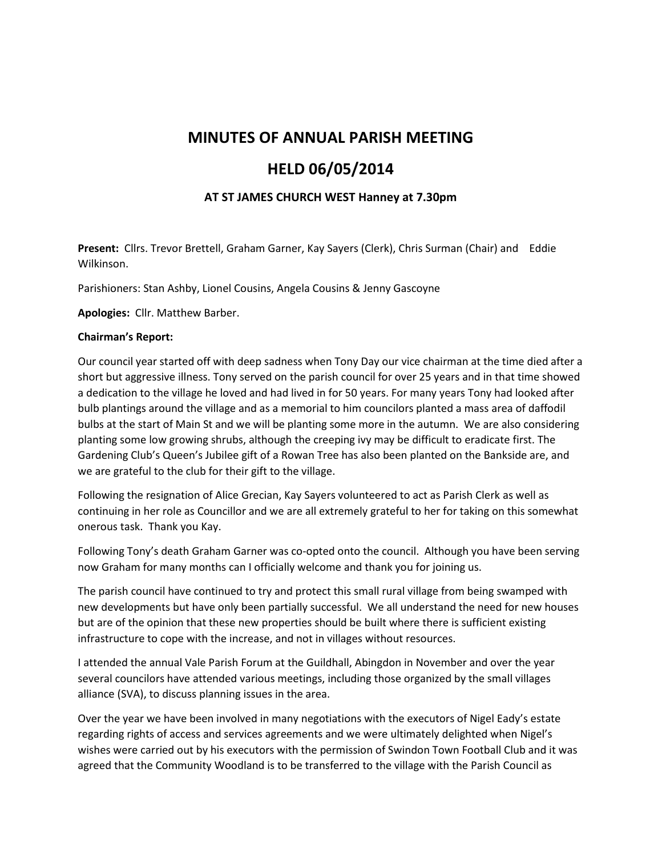## **MINUTES OF ANNUAL PARISH MEETING**

# **HELD 06/05/2014**

## **AT ST JAMES CHURCH WEST Hanney at 7.30pm**

**Present:** Cllrs. Trevor Brettell, Graham Garner, Kay Sayers (Clerk), Chris Surman (Chair) and Eddie Wilkinson.

Parishioners: Stan Ashby, Lionel Cousins, Angela Cousins & Jenny Gascoyne

**Apologies:** Cllr. Matthew Barber.

### **Chairman's Report:**

Our council year started off with deep sadness when Tony Day our vice chairman at the time died after a short but aggressive illness. Tony served on the parish council for over 25 years and in that time showed a dedication to the village he loved and had lived in for 50 years. For many years Tony had looked after bulb plantings around the village and as a memorial to him councilors planted a mass area of daffodil bulbs at the start of Main St and we will be planting some more in the autumn. We are also considering planting some low growing shrubs, although the creeping ivy may be difficult to eradicate first. The Gardening Club's Queen's Jubilee gift of a Rowan Tree has also been planted on the Bankside are, and we are grateful to the club for their gift to the village.

Following the resignation of Alice Grecian, Kay Sayers volunteered to act as Parish Clerk as well as continuing in her role as Councillor and we are all extremely grateful to her for taking on this somewhat onerous task. Thank you Kay.

Following Tony's death Graham Garner was co-opted onto the council. Although you have been serving now Graham for many months can I officially welcome and thank you for joining us.

The parish council have continued to try and protect this small rural village from being swamped with new developments but have only been partially successful. We all understand the need for new houses but are of the opinion that these new properties should be built where there is sufficient existing infrastructure to cope with the increase, and not in villages without resources.

I attended the annual Vale Parish Forum at the Guildhall, Abingdon in November and over the year several councilors have attended various meetings, including those organized by the small villages alliance (SVA), to discuss planning issues in the area.

Over the year we have been involved in many negotiations with the executors of Nigel Eady's estate regarding rights of access and services agreements and we were ultimately delighted when Nigel's wishes were carried out by his executors with the permission of Swindon Town Football Club and it was agreed that the Community Woodland is to be transferred to the village with the Parish Council as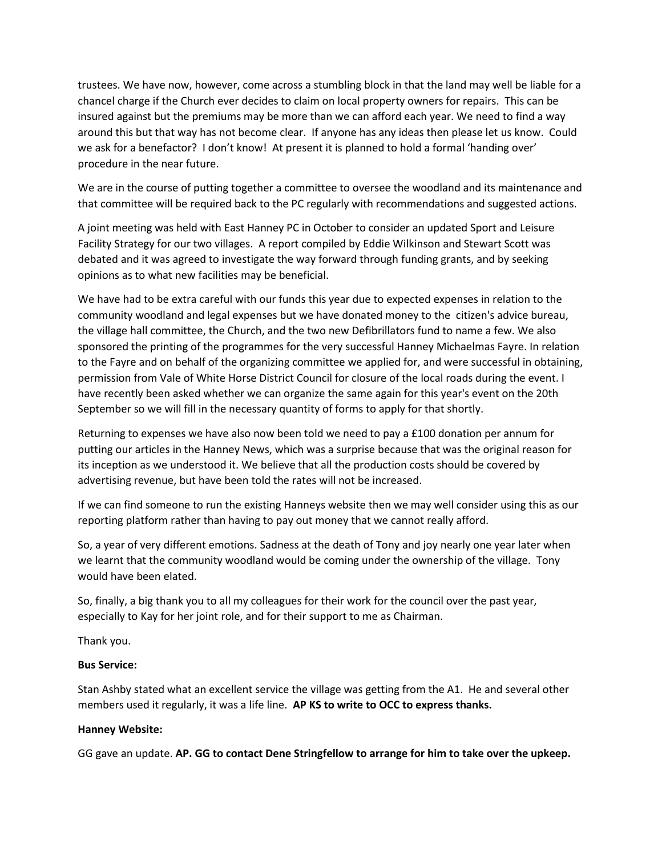trustees. We have now, however, come across a stumbling block in that the land may well be liable for a chancel charge if the Church ever decides to claim on local property owners for repairs. This can be insured against but the premiums may be more than we can afford each year. We need to find a way around this but that way has not become clear. If anyone has any ideas then please let us know. Could we ask for a benefactor? I don't know! At present it is planned to hold a formal 'handing over' procedure in the near future.

We are in the course of putting together a committee to oversee the woodland and its maintenance and that committee will be required back to the PC regularly with recommendations and suggested actions.

A joint meeting was held with East Hanney PC in October to consider an updated Sport and Leisure Facility Strategy for our two villages. A report compiled by Eddie Wilkinson and Stewart Scott was debated and it was agreed to investigate the way forward through funding grants, and by seeking opinions as to what new facilities may be beneficial.

We have had to be extra careful with our funds this year due to expected expenses in relation to the community woodland and legal expenses but we have donated money to the citizen's advice bureau, the village hall committee, the Church, and the two new Defibrillators fund to name a few. We also sponsored the printing of the programmes for the very successful Hanney Michaelmas Fayre. In relation to the Fayre and on behalf of the organizing committee we applied for, and were successful in obtaining, permission from Vale of White Horse District Council for closure of the local roads during the event. I have recently been asked whether we can organize the same again for this year's event on the 20th September so we will fill in the necessary quantity of forms to apply for that shortly.

Returning to expenses we have also now been told we need to pay a £100 donation per annum for putting our articles in the Hanney News, which was a surprise because that was the original reason for its inception as we understood it. We believe that all the production costs should be covered by advertising revenue, but have been told the rates will not be increased.

If we can find someone to run the existing Hanneys website then we may well consider using this as our reporting platform rather than having to pay out money that we cannot really afford.

So, a year of very different emotions. Sadness at the death of Tony and joy nearly one year later when we learnt that the community woodland would be coming under the ownership of the village. Tony would have been elated.

So, finally, a big thank you to all my colleagues for their work for the council over the past year, especially to Kay for her joint role, and for their support to me as Chairman.

Thank you.

### **Bus Service:**

Stan Ashby stated what an excellent service the village was getting from the A1. He and several other members used it regularly, it was a life line. **AP KS to write to OCC to express thanks.**

### **Hanney Website:**

GG gave an update. **AP. GG to contact Dene Stringfellow to arrange for him to take over the upkeep.**